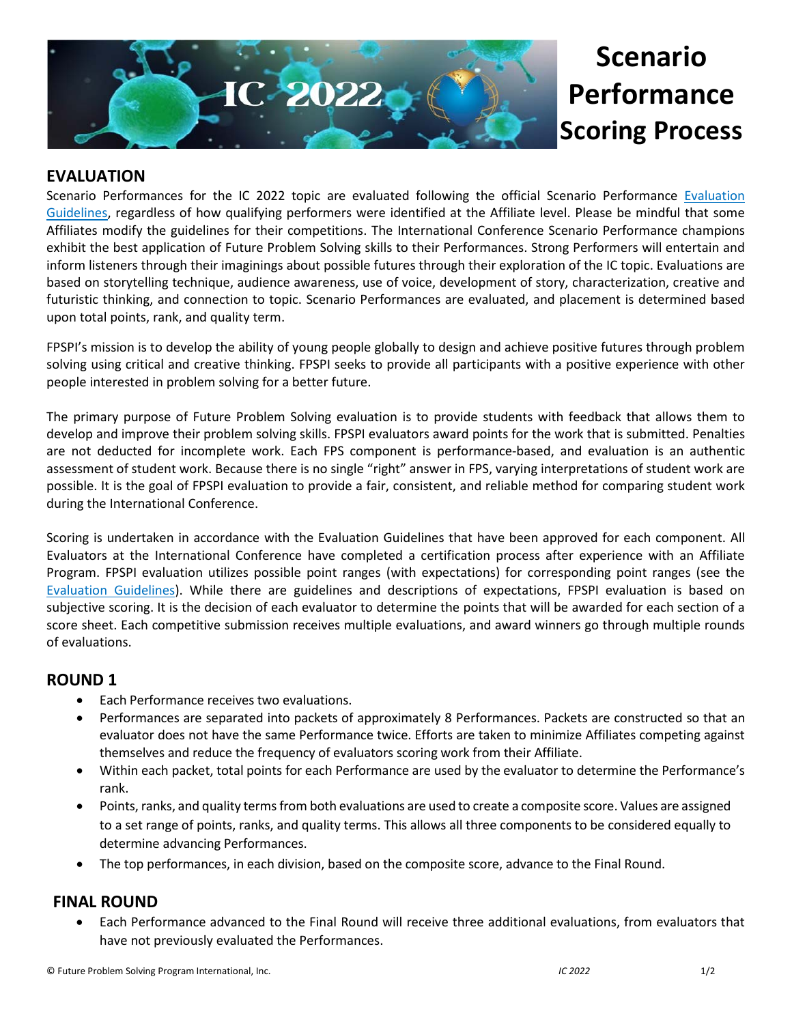

# **Scenario Performance Scoring Process**

### **EVALUATION**

Scenario Performances for the IC 2022 topic are evaluated following the official Scenario Performance [Evaluation](https://www.fpspimart.org/product/evaluation-guidelines/)  [Guidelines,](https://www.fpspimart.org/product/evaluation-guidelines/) regardless of how qualifying performers were identified at the Affiliate level. Please be mindful that some Affiliates modify the guidelines for their competitions. The International Conference Scenario Performance champions exhibit the best application of Future Problem Solving skills to their Performances. Strong Performers will entertain and inform listeners through their imaginings about possible futures through their exploration of the IC topic. Evaluations are based on storytelling technique, audience awareness, use of voice, development of story, characterization, creative and futuristic thinking, and connection to topic. Scenario Performances are evaluated, and placement is determined based upon total points, rank, and quality term.

FPSPI's mission is to develop the ability of young people globally to design and achieve positive futures through problem solving using critical and creative thinking. FPSPI seeks to provide all participants with a positive experience with other people interested in problem solving for a better future.

The primary purpose of Future Problem Solving evaluation is to provide students with feedback that allows them to develop and improve their problem solving skills. FPSPI evaluators award points for the work that is submitted. Penalties are not deducted for incomplete work. Each FPS component is performance-based, and evaluation is an authentic assessment of student work. Because there is no single "right" answer in FPS, varying interpretations of student work are possible. It is the goal of FPSPI evaluation to provide a fair, consistent, and reliable method for comparing student work during the International Conference.

Scoring is undertaken in accordance with the Evaluation Guidelines that have been approved for each component. All Evaluators at the International Conference have completed a certification process after experience with an Affiliate Program. FPSPI evaluation utilizes possible point ranges (with expectations) for corresponding point ranges (see the [Evaluation Guidelines\)](https://www.fpspimart.org/product/evaluation-guidelines/). While there are guidelines and descriptions of expectations, FPSPI evaluation is based on subjective scoring. It is the decision of each evaluator to determine the points that will be awarded for each section of a score sheet. Each competitive submission receives multiple evaluations, and award winners go through multiple rounds of evaluations.

#### **ROUND 1**

- Each Performance receives two evaluations.
- Performances are separated into packets of approximately 8 Performances. Packets are constructed so that an evaluator does not have the same Performance twice. Efforts are taken to minimize Affiliates competing against themselves and reduce the frequency of evaluators scoring work from their Affiliate.
- Within each packet, total points for each Performance are used by the evaluator to determine the Performance's rank.
- Points, ranks, and quality terms from both evaluations are used to create a composite score. Values are assigned to a set range of points, ranks, and quality terms. This allows all three components to be considered equally to determine advancing Performances.
- The top performances, in each division, based on the composite score, advance to the Final Round.

#### **FINAL ROUND**

• Each Performance advanced to the Final Round will receive three additional evaluations, from evaluators that have not previously evaluated the Performances.